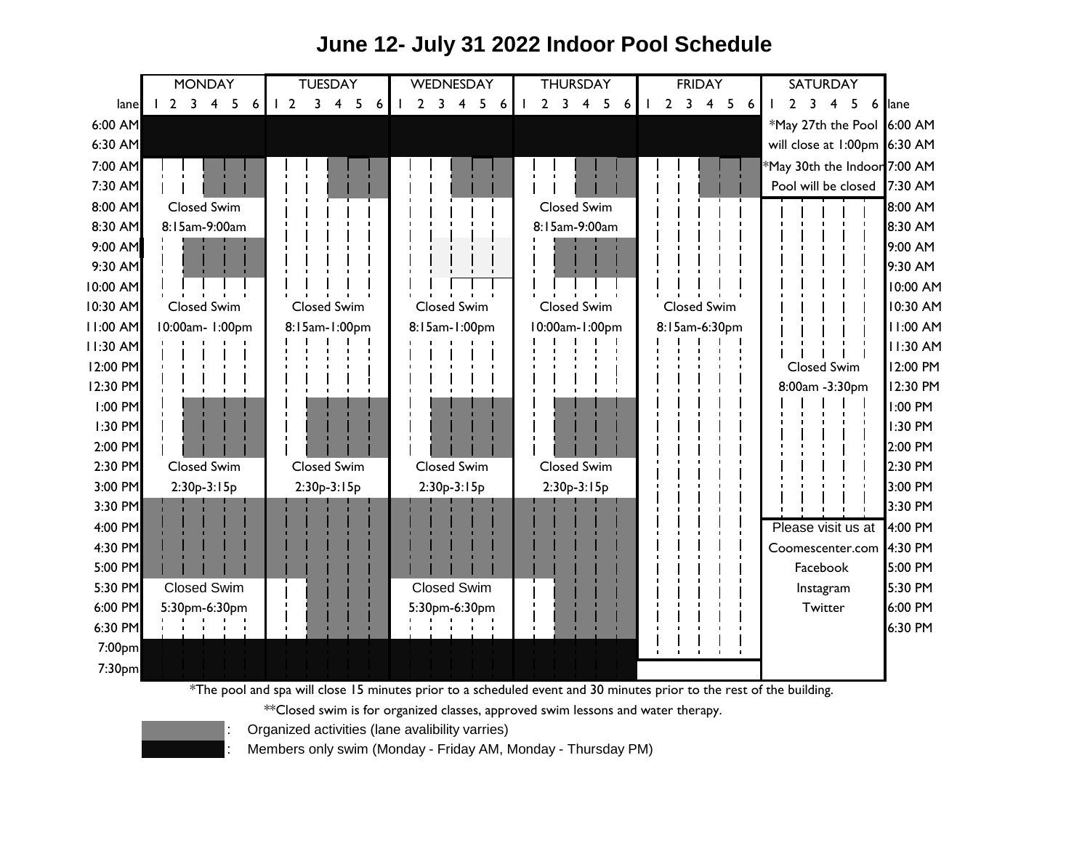## lane 1 2 3 4 5 6 1 2 3 4 5 6 1 2 3 4 5 6 1 2 3 4 5 6 1 2 3 4 5 6 1 2 3 4 5 6 ane 6:00 AM 6:00 AM \*May 27th the Pool 6:30 AM 6:30 AM will close at 1:00pm 7:00 AM 7:00 AM \*May 30th the Indoor 7:30 AM 7:30 AM Pool will be closed 8:00 AM 8:00 AM 8:30 AM | 8:15am-9:00am | | | | | | | | | | | | | | | | 8:15am-9:00am | | | | | | | | | | | | | | | | | | 8:30 AM 9:00 AM 9:00 AM 9:30 AM 9:30 AM 10:00 AM 10:00 AM 10:30 AM Closed Swim Closed Swim Closed Swim Closed Swim Closed Swim | | | | | | 10:30 AM 11:00 AM 11:00 AM 10:00am- 1:00pm 11:30 AM 11:30 AM 12:00 PM 12:00 PM 12:30 PM 12:30 PM 1:00 PM 1:00 PM 1:30 PM 1:30 PM 2:00 PM 2:00 PM 2:30 PM Closed Swim | Closed Swim | Closed Swim | Closed Swim | | | | | | | | | | | | | 2:30 PM 3:00 PM 2:30p-3:15p | 2:30p-3:15p | 2:30p-3:15p | 2:30p-3:15p | '; '; '; | '; '; | '; | | 3:30 PM 3:30 PM 4:00 PM 4:00 PM Please visit us at 4:30 PM 4:30 PM Coomescenter.com 5:00 PM 5:00 PM 5:30 PM 5:30 PM 6:00 PM 5:30pm-6:30pm | | | | | | 5:30pm-6:30pm | | | | | | | | | | | | | | Twitter | 6:00 PM 6:30 PM 6:30 PM 7:00pm 7:30pm **TUESDAY** Closed Swim Closed Swim WEDNESDAY | THURSDAY Closed Swim Facebook 10:00am-1:00pm Closed Swim 8:15am-1:00pm Closed Swim **MONDAY** Closed Swim 8:00am -3:30pm 8:15am-1:00pm Closed Swim **SATURDAY** FRIDAY Closed Swim **Twitter** Closed Swim 8:15am-9:00am Closed Swim 8:15am-6:30pm Instagram 8:15am-9:00am 5:30pm-6:30pm Closed Swim Closed Swim Closed Swim Closed Swim 2:30p-3:15p 2:30p-3:15p 2:30p-3:15p 2:30p-3:15p

## **June 12- July 31 2022 Indoor Pool Schedule**

\*The pool and spa will close 15 minutes prior to a scheduled event and 30 minutes prior to the rest of the building.

\*\*Closed swim is for organized classes, approved swim lessons and water therapy.



: Organized activities (lane avalibility varries)

: Members only swim (Monday - Friday AM, Monday - Thursday PM)